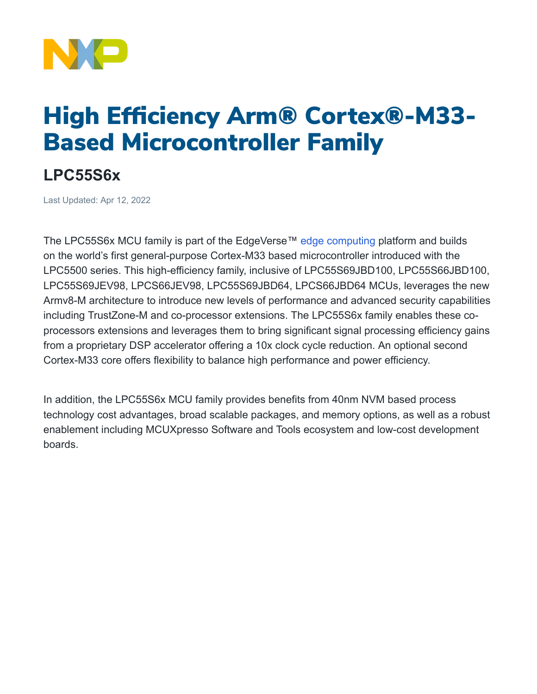

## High Efficiency Arm® Cortex®-M33- Based Microcontroller Family

## **LPC55S6x**

Last Updated: Apr 12, 2022

The LPC55S6x MCU family is part of the EdgeVerse™ [edge computing](https://www.nxp.com/applications/enabling-technologies/edge-computing:EDGE-COMPUTING) platform and builds on the world's first general-purpose Cortex-M33 based microcontroller introduced with the LPC5500 series. This high-efficiency family, inclusive of LPC55S69JBD100, LPC55S66JBD100, LPC55S69JEV98, LPCS66JEV98, LPC55S69JBD64, LPCS66JBD64 MCUs, leverages the new Armv8-M architecture to introduce new levels of performance and advanced security capabilities including TrustZone-M and co-processor extensions. The LPC55S6x family enables these coprocessors extensions and leverages them to bring significant signal processing efficiency gains from a proprietary DSP accelerator offering a 10x clock cycle reduction. An optional second Cortex-M33 core offers flexibility to balance high performance and power efficiency.

In addition, the LPC55S6x MCU family provides benefits from 40nm NVM based process technology cost advantages, broad scalable packages, and memory options, as well as a robust enablement including MCUXpresso Software and Tools ecosystem and low-cost development boards.